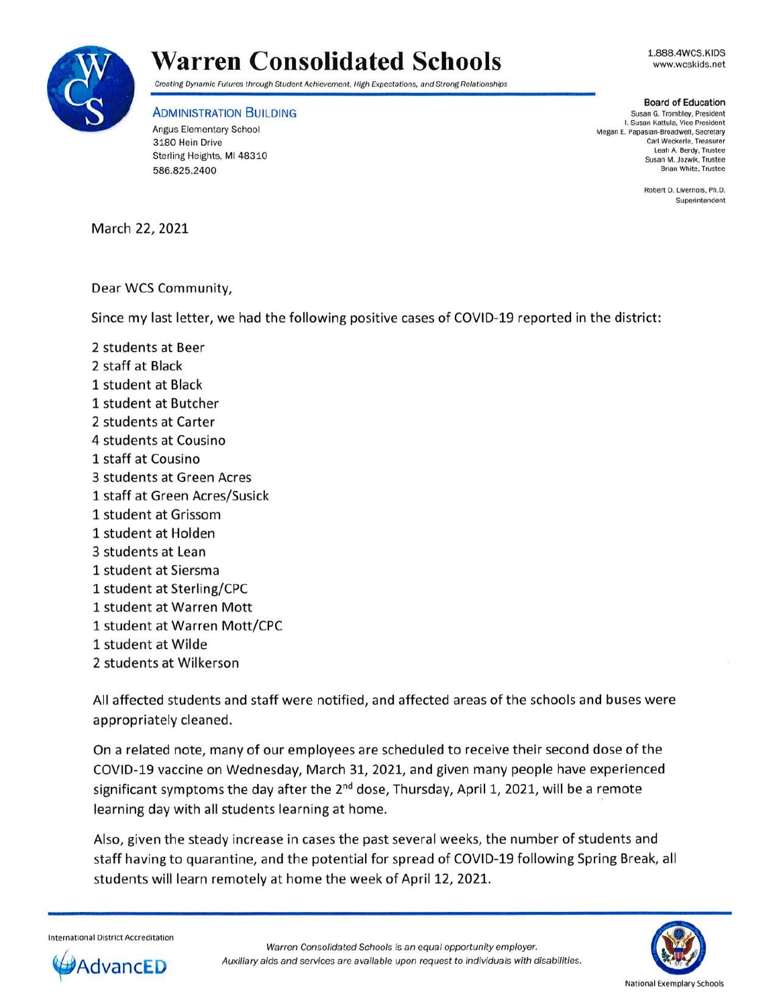

## **Warren Consolidated Schools**

1.888.4WCS.KIDS www.wcskids.net

Creating Dynamic Futures through Student Achievement, High Expectations, and Strong Relationships

## ADMINISTRATION BUILDING

Angus Elementary School 3180 Hein Drive Sterling Heights, **Ml** 48310 586.825.2400

**Board of Education**  Susan G. Trombley, President I. Susan Kattula, Vice President Megan E. Papasian-Broadwell, Secretary Carl Weckerle. Treasurer Leah A. Berdy, Trustee Susan M. Jozwik, Trustee Brian White, Trustee

> Robert D. Livernois, Ph.D. Superintendent

March 22, 2021

## Dear WCS Community,

Since my last letter, we had the following positive cases of COVID-19 reported in the district:

2 students at Beer 2 staff at Black 1 student at Black 1 student at Butcher 2 students at Carter 4 students at Cousino 1 staff at Cousino 3 students at Green Acres 1 staff at Green Acres/Susick 1 student at Grissom 1 student at Holden 3 students at Lean 1 student at Siersma 1 student at Sterling/CPC 1 student at Warren Mott 1 student at Warren Mott/CPC 1 student at Wilde 2 students at Wilkerson

All affected students and staff were notified, and affected areas of the schools and buses were appropriately cleaned.

On a related note, many of our employees are scheduled to receive their second dose of the COVID-19 vaccine on Wednesday, March 31, 2021, and given many people have experienced significant symptoms the day after the 2<sup>nd</sup> dose, Thursday, April 1, 2021, will be a remote learning day with all students learning at home.

Also, given the steady increase in cases the past several weeks, the number of students and staff having to quarantine, and the potential for spread of COVID-19 following Spring Break, all students will learn remotely at home the week of April 12, 2021.

International District Accreditation





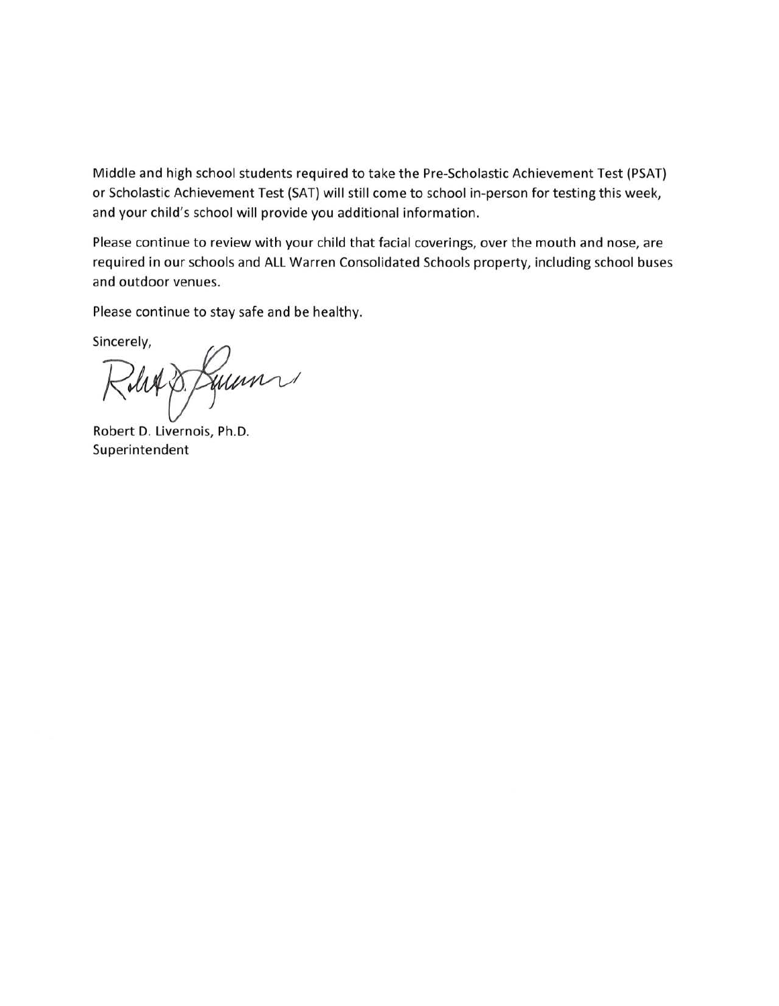Middle and high school students required to take the Pre-Scholastic Achievement Test (PSAT) or Scholastic Achievement Test (SAT) will still come to school in-person for testing this week, and your child's school will provide you additional information.

Please continue to review with your child that facial coverings, over the mouth and nose, are required in our schools and ALL Warren Consolidated Schools property, including school buses and outdoor venues.

Please continue to stay safe and be healthy.

Sincerely,

Int p. Jum

Robert D. Livernois, Ph.D. Superintendent